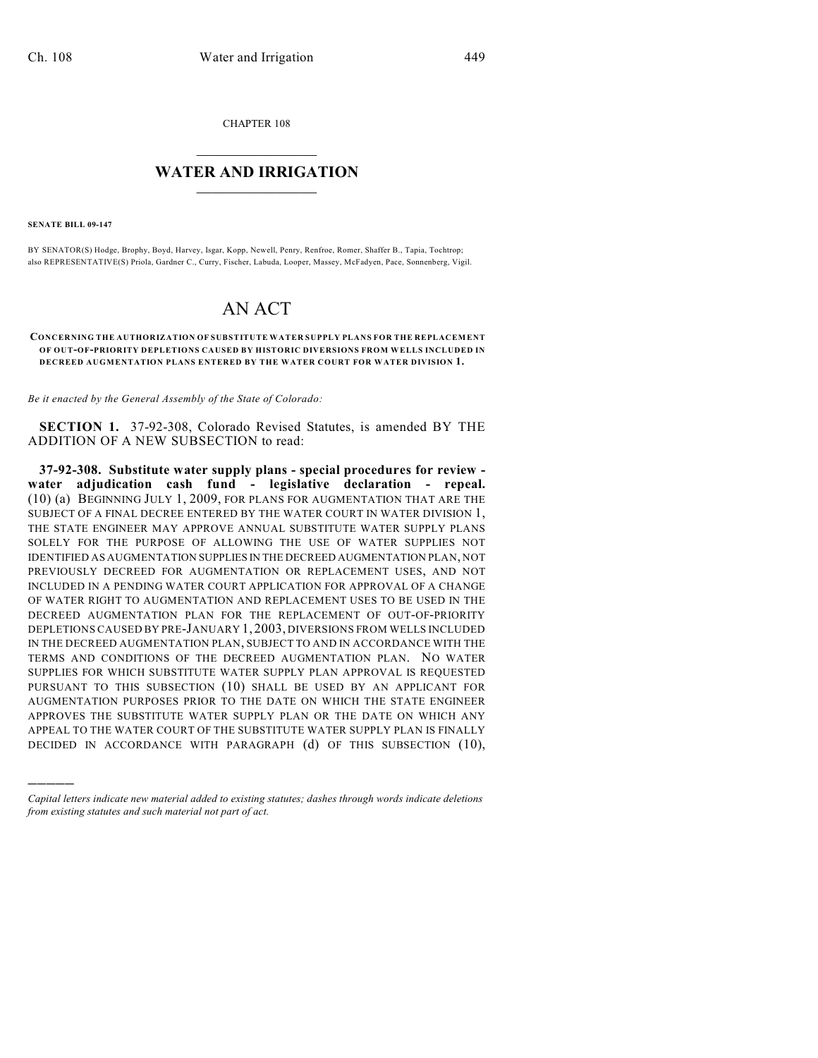CHAPTER 108

## $\mathcal{L}_\text{max}$  . The set of the set of the set of the set of the set of the set of the set of the set of the set of the set of the set of the set of the set of the set of the set of the set of the set of the set of the set **WATER AND IRRIGATION**  $\_$   $\_$

**SENATE BILL 09-147**

)))))

BY SENATOR(S) Hodge, Brophy, Boyd, Harvey, Isgar, Kopp, Newell, Penry, Renfroe, Romer, Shaffer B., Tapia, Tochtrop; also REPRESENTATIVE(S) Priola, Gardner C., Curry, Fischer, Labuda, Looper, Massey, McFadyen, Pace, Sonnenberg, Vigil.

## AN ACT

## **CONCERNING THE AUTHORIZATION OF SUBSTITUTE WATER SUPPLY PLANS FOR THE REPLACEMENT OF OUT-OF-PRIORITY DEPLETIONS CAUSED BY HISTORIC DIVERSIONS FROM WELLS INCLUDED IN DECREED AUGMENTATION PLANS ENTERED BY THE WATER COURT FOR WATER DIVISION 1.**

*Be it enacted by the General Assembly of the State of Colorado:*

**SECTION 1.** 37-92-308, Colorado Revised Statutes, is amended BY THE ADDITION OF A NEW SUBSECTION to read:

**37-92-308. Substitute water supply plans - special procedures for review water adjudication cash fund - legislative declaration - repeal.** (10) (a) BEGINNING JULY 1, 2009, FOR PLANS FOR AUGMENTATION THAT ARE THE SUBJECT OF A FINAL DECREE ENTERED BY THE WATER COURT IN WATER DIVISION 1, THE STATE ENGINEER MAY APPROVE ANNUAL SUBSTITUTE WATER SUPPLY PLANS SOLELY FOR THE PURPOSE OF ALLOWING THE USE OF WATER SUPPLIES NOT IDENTIFIED AS AUGMENTATION SUPPLIES IN THE DECREED AUGMENTATION PLAN, NOT PREVIOUSLY DECREED FOR AUGMENTATION OR REPLACEMENT USES, AND NOT INCLUDED IN A PENDING WATER COURT APPLICATION FOR APPROVAL OF A CHANGE OF WATER RIGHT TO AUGMENTATION AND REPLACEMENT USES TO BE USED IN THE DECREED AUGMENTATION PLAN FOR THE REPLACEMENT OF OUT-OF-PRIORITY DEPLETIONS CAUSED BY PRE-JANUARY 1, 2003, DIVERSIONS FROM WELLS INCLUDED IN THE DECREED AUGMENTATION PLAN, SUBJECT TO AND IN ACCORDANCE WITH THE TERMS AND CONDITIONS OF THE DECREED AUGMENTATION PLAN. NO WATER SUPPLIES FOR WHICH SUBSTITUTE WATER SUPPLY PLAN APPROVAL IS REQUESTED PURSUANT TO THIS SUBSECTION (10) SHALL BE USED BY AN APPLICANT FOR AUGMENTATION PURPOSES PRIOR TO THE DATE ON WHICH THE STATE ENGINEER APPROVES THE SUBSTITUTE WATER SUPPLY PLAN OR THE DATE ON WHICH ANY APPEAL TO THE WATER COURT OF THE SUBSTITUTE WATER SUPPLY PLAN IS FINALLY DECIDED IN ACCORDANCE WITH PARAGRAPH (d) OF THIS SUBSECTION (10),

*Capital letters indicate new material added to existing statutes; dashes through words indicate deletions from existing statutes and such material not part of act.*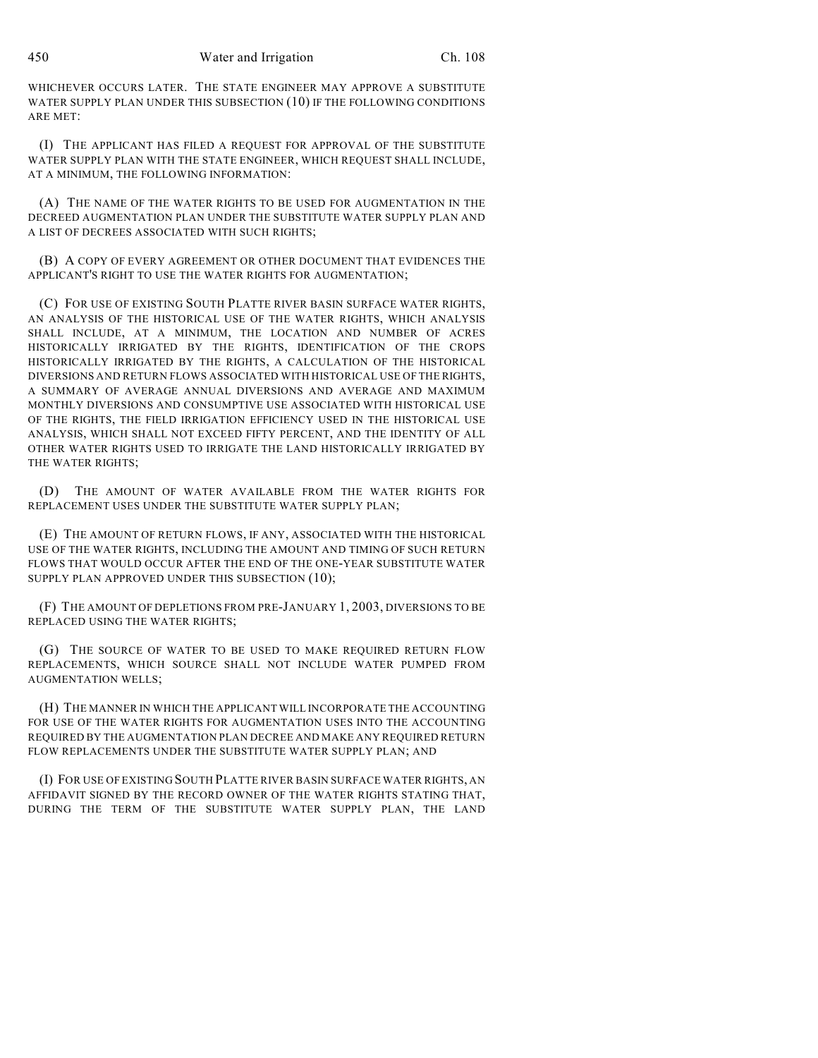WHICHEVER OCCURS LATER. THE STATE ENGINEER MAY APPROVE A SUBSTITUTE WATER SUPPLY PLAN UNDER THIS SUBSECTION (10) IF THE FOLLOWING CONDITIONS ARE MET:

(I) THE APPLICANT HAS FILED A REQUEST FOR APPROVAL OF THE SUBSTITUTE WATER SUPPLY PLAN WITH THE STATE ENGINEER, WHICH REQUEST SHALL INCLUDE, AT A MINIMUM, THE FOLLOWING INFORMATION:

(A) THE NAME OF THE WATER RIGHTS TO BE USED FOR AUGMENTATION IN THE DECREED AUGMENTATION PLAN UNDER THE SUBSTITUTE WATER SUPPLY PLAN AND A LIST OF DECREES ASSOCIATED WITH SUCH RIGHTS;

(B) A COPY OF EVERY AGREEMENT OR OTHER DOCUMENT THAT EVIDENCES THE APPLICANT'S RIGHT TO USE THE WATER RIGHTS FOR AUGMENTATION;

(C) FOR USE OF EXISTING SOUTH PLATTE RIVER BASIN SURFACE WATER RIGHTS, AN ANALYSIS OF THE HISTORICAL USE OF THE WATER RIGHTS, WHICH ANALYSIS SHALL INCLUDE, AT A MINIMUM, THE LOCATION AND NUMBER OF ACRES HISTORICALLY IRRIGATED BY THE RIGHTS, IDENTIFICATION OF THE CROPS HISTORICALLY IRRIGATED BY THE RIGHTS, A CALCULATION OF THE HISTORICAL DIVERSIONS AND RETURN FLOWS ASSOCIATED WITH HISTORICAL USE OF THE RIGHTS, A SUMMARY OF AVERAGE ANNUAL DIVERSIONS AND AVERAGE AND MAXIMUM MONTHLY DIVERSIONS AND CONSUMPTIVE USE ASSOCIATED WITH HISTORICAL USE OF THE RIGHTS, THE FIELD IRRIGATION EFFICIENCY USED IN THE HISTORICAL USE ANALYSIS, WHICH SHALL NOT EXCEED FIFTY PERCENT, AND THE IDENTITY OF ALL OTHER WATER RIGHTS USED TO IRRIGATE THE LAND HISTORICALLY IRRIGATED BY THE WATER RIGHTS;

(D) THE AMOUNT OF WATER AVAILABLE FROM THE WATER RIGHTS FOR REPLACEMENT USES UNDER THE SUBSTITUTE WATER SUPPLY PLAN;

(E) THE AMOUNT OF RETURN FLOWS, IF ANY, ASSOCIATED WITH THE HISTORICAL USE OF THE WATER RIGHTS, INCLUDING THE AMOUNT AND TIMING OF SUCH RETURN FLOWS THAT WOULD OCCUR AFTER THE END OF THE ONE-YEAR SUBSTITUTE WATER SUPPLY PLAN APPROVED UNDER THIS SUBSECTION (10);

(F) THE AMOUNT OF DEPLETIONS FROM PRE-JANUARY 1, 2003, DIVERSIONS TO BE REPLACED USING THE WATER RIGHTS;

(G) THE SOURCE OF WATER TO BE USED TO MAKE REQUIRED RETURN FLOW REPLACEMENTS, WHICH SOURCE SHALL NOT INCLUDE WATER PUMPED FROM AUGMENTATION WELLS;

(H) THE MANNER IN WHICH THE APPLICANT WILL INCORPORATE THE ACCOUNTING FOR USE OF THE WATER RIGHTS FOR AUGMENTATION USES INTO THE ACCOUNTING REQUIRED BY THE AUGMENTATION PLAN DECREE AND MAKE ANY REQUIRED RETURN FLOW REPLACEMENTS UNDER THE SUBSTITUTE WATER SUPPLY PLAN; AND

(I) FOR USE OF EXISTING SOUTH PLATTE RIVER BASIN SURFACE WATER RIGHTS, AN AFFIDAVIT SIGNED BY THE RECORD OWNER OF THE WATER RIGHTS STATING THAT, DURING THE TERM OF THE SUBSTITUTE WATER SUPPLY PLAN, THE LAND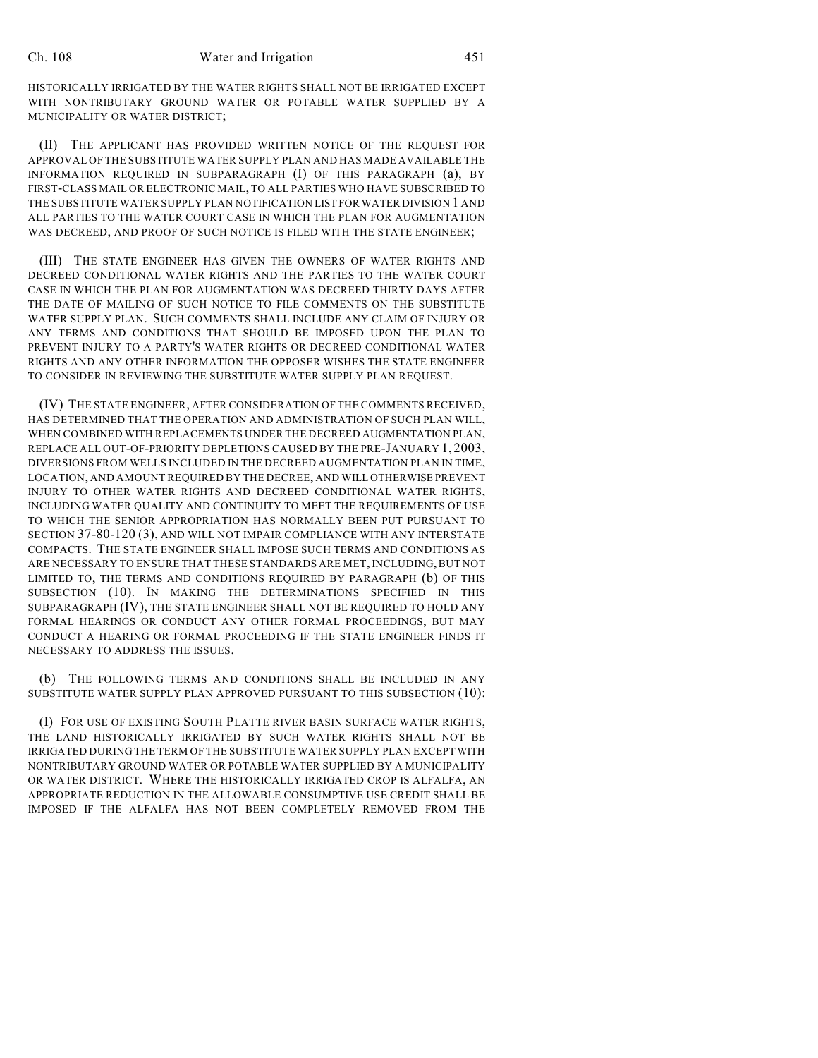HISTORICALLY IRRIGATED BY THE WATER RIGHTS SHALL NOT BE IRRIGATED EXCEPT WITH NONTRIBUTARY GROUND WATER OR POTABLE WATER SUPPLIED BY A MUNICIPALITY OR WATER DISTRICT;

(II) THE APPLICANT HAS PROVIDED WRITTEN NOTICE OF THE REQUEST FOR APPROVAL OF THE SUBSTITUTE WATER SUPPLY PLAN AND HAS MADE AVAILABLE THE INFORMATION REQUIRED IN SUBPARAGRAPH (I) OF THIS PARAGRAPH (a), BY FIRST-CLASS MAIL OR ELECTRONIC MAIL, TO ALL PARTIES WHO HAVE SUBSCRIBED TO THE SUBSTITUTE WATER SUPPLY PLAN NOTIFICATION LIST FOR WATER DIVISION 1 AND ALL PARTIES TO THE WATER COURT CASE IN WHICH THE PLAN FOR AUGMENTATION WAS DECREED, AND PROOF OF SUCH NOTICE IS FILED WITH THE STATE ENGINEER;

(III) THE STATE ENGINEER HAS GIVEN THE OWNERS OF WATER RIGHTS AND DECREED CONDITIONAL WATER RIGHTS AND THE PARTIES TO THE WATER COURT CASE IN WHICH THE PLAN FOR AUGMENTATION WAS DECREED THIRTY DAYS AFTER THE DATE OF MAILING OF SUCH NOTICE TO FILE COMMENTS ON THE SUBSTITUTE WATER SUPPLY PLAN. SUCH COMMENTS SHALL INCLUDE ANY CLAIM OF INJURY OR ANY TERMS AND CONDITIONS THAT SHOULD BE IMPOSED UPON THE PLAN TO PREVENT INJURY TO A PARTY'S WATER RIGHTS OR DECREED CONDITIONAL WATER RIGHTS AND ANY OTHER INFORMATION THE OPPOSER WISHES THE STATE ENGINEER TO CONSIDER IN REVIEWING THE SUBSTITUTE WATER SUPPLY PLAN REQUEST.

(IV) THE STATE ENGINEER, AFTER CONSIDERATION OF THE COMMENTS RECEIVED, HAS DETERMINED THAT THE OPERATION AND ADMINISTRATION OF SUCH PLAN WILL, WHEN COMBINED WITH REPLACEMENTS UNDER THE DECREED AUGMENTATION PLAN, REPLACE ALL OUT-OF-PRIORITY DEPLETIONS CAUSED BY THE PRE-JANUARY 1, 2003, DIVERSIONS FROM WELLS INCLUDED IN THE DECREED AUGMENTATION PLAN IN TIME, LOCATION, AND AMOUNT REQUIRED BY THE DECREE, AND WILL OTHERWISE PREVENT INJURY TO OTHER WATER RIGHTS AND DECREED CONDITIONAL WATER RIGHTS, INCLUDING WATER QUALITY AND CONTINUITY TO MEET THE REQUIREMENTS OF USE TO WHICH THE SENIOR APPROPRIATION HAS NORMALLY BEEN PUT PURSUANT TO SECTION 37-80-120 (3), AND WILL NOT IMPAIR COMPLIANCE WITH ANY INTERSTATE COMPACTS. THE STATE ENGINEER SHALL IMPOSE SUCH TERMS AND CONDITIONS AS ARE NECESSARY TO ENSURE THAT THESE STANDARDS ARE MET, INCLUDING, BUT NOT LIMITED TO, THE TERMS AND CONDITIONS REQUIRED BY PARAGRAPH (b) OF THIS SUBSECTION (10). IN MAKING THE DETERMINATIONS SPECIFIED IN THIS SUBPARAGRAPH (IV), THE STATE ENGINEER SHALL NOT BE REQUIRED TO HOLD ANY FORMAL HEARINGS OR CONDUCT ANY OTHER FORMAL PROCEEDINGS, BUT MAY CONDUCT A HEARING OR FORMAL PROCEEDING IF THE STATE ENGINEER FINDS IT NECESSARY TO ADDRESS THE ISSUES.

(b) THE FOLLOWING TERMS AND CONDITIONS SHALL BE INCLUDED IN ANY SUBSTITUTE WATER SUPPLY PLAN APPROVED PURSUANT TO THIS SUBSECTION (10):

(I) FOR USE OF EXISTING SOUTH PLATTE RIVER BASIN SURFACE WATER RIGHTS, THE LAND HISTORICALLY IRRIGATED BY SUCH WATER RIGHTS SHALL NOT BE IRRIGATED DURING THE TERM OF THE SUBSTITUTE WATER SUPPLY PLAN EXCEPT WITH NONTRIBUTARY GROUND WATER OR POTABLE WATER SUPPLIED BY A MUNICIPALITY OR WATER DISTRICT. WHERE THE HISTORICALLY IRRIGATED CROP IS ALFALFA, AN APPROPRIATE REDUCTION IN THE ALLOWABLE CONSUMPTIVE USE CREDIT SHALL BE IMPOSED IF THE ALFALFA HAS NOT BEEN COMPLETELY REMOVED FROM THE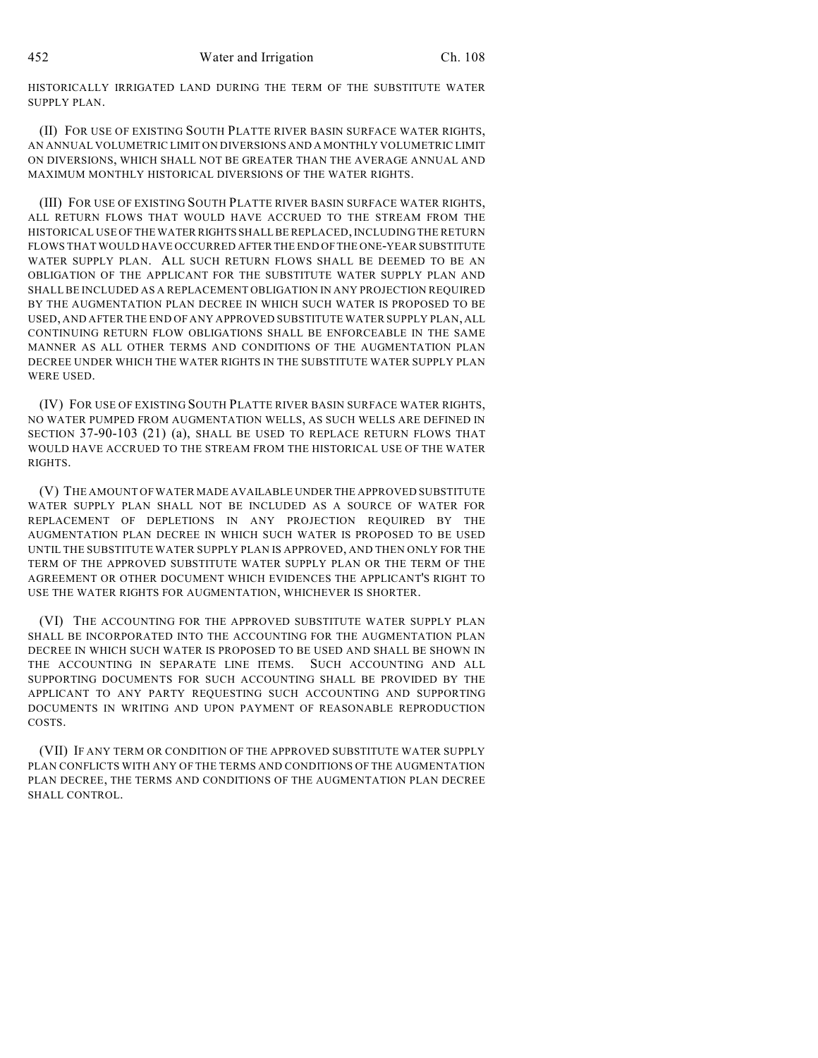HISTORICALLY IRRIGATED LAND DURING THE TERM OF THE SUBSTITUTE WATER SUPPLY PLAN.

(II) FOR USE OF EXISTING SOUTH PLATTE RIVER BASIN SURFACE WATER RIGHTS, AN ANNUAL VOLUMETRIC LIMIT ON DIVERSIONS AND A MONTHLY VOLUMETRIC LIMIT ON DIVERSIONS, WHICH SHALL NOT BE GREATER THAN THE AVERAGE ANNUAL AND MAXIMUM MONTHLY HISTORICAL DIVERSIONS OF THE WATER RIGHTS.

(III) FOR USE OF EXISTING SOUTH PLATTE RIVER BASIN SURFACE WATER RIGHTS, ALL RETURN FLOWS THAT WOULD HAVE ACCRUED TO THE STREAM FROM THE HISTORICAL USE OF THE WATER RIGHTS SHALL BE REPLACED, INCLUDING THE RETURN FLOWS THAT WOULD HAVE OCCURRED AFTER THE END OF THE ONE-YEAR SUBSTITUTE WATER SUPPLY PLAN. ALL SUCH RETURN FLOWS SHALL BE DEEMED TO BE AN OBLIGATION OF THE APPLICANT FOR THE SUBSTITUTE WATER SUPPLY PLAN AND SHALL BE INCLUDED AS A REPLACEMENT OBLIGATION IN ANY PROJECTION REQUIRED BY THE AUGMENTATION PLAN DECREE IN WHICH SUCH WATER IS PROPOSED TO BE USED, AND AFTER THE END OF ANY APPROVED SUBSTITUTE WATER SUPPLY PLAN, ALL CONTINUING RETURN FLOW OBLIGATIONS SHALL BE ENFORCEABLE IN THE SAME MANNER AS ALL OTHER TERMS AND CONDITIONS OF THE AUGMENTATION PLAN DECREE UNDER WHICH THE WATER RIGHTS IN THE SUBSTITUTE WATER SUPPLY PLAN WERE USED.

(IV) FOR USE OF EXISTING SOUTH PLATTE RIVER BASIN SURFACE WATER RIGHTS, NO WATER PUMPED FROM AUGMENTATION WELLS, AS SUCH WELLS ARE DEFINED IN SECTION 37-90-103 (21) (a), SHALL BE USED TO REPLACE RETURN FLOWS THAT WOULD HAVE ACCRUED TO THE STREAM FROM THE HISTORICAL USE OF THE WATER RIGHTS.

(V) THE AMOUNT OF WATER MADE AVAILABLE UNDER THE APPROVED SUBSTITUTE WATER SUPPLY PLAN SHALL NOT BE INCLUDED AS A SOURCE OF WATER FOR REPLACEMENT OF DEPLETIONS IN ANY PROJECTION REQUIRED BY THE AUGMENTATION PLAN DECREE IN WHICH SUCH WATER IS PROPOSED TO BE USED UNTIL THE SUBSTITUTE WATER SUPPLY PLAN IS APPROVED, AND THEN ONLY FOR THE TERM OF THE APPROVED SUBSTITUTE WATER SUPPLY PLAN OR THE TERM OF THE AGREEMENT OR OTHER DOCUMENT WHICH EVIDENCES THE APPLICANT'S RIGHT TO USE THE WATER RIGHTS FOR AUGMENTATION, WHICHEVER IS SHORTER.

(VI) THE ACCOUNTING FOR THE APPROVED SUBSTITUTE WATER SUPPLY PLAN SHALL BE INCORPORATED INTO THE ACCOUNTING FOR THE AUGMENTATION PLAN DECREE IN WHICH SUCH WATER IS PROPOSED TO BE USED AND SHALL BE SHOWN IN THE ACCOUNTING IN SEPARATE LINE ITEMS. SUCH ACCOUNTING AND ALL SUPPORTING DOCUMENTS FOR SUCH ACCOUNTING SHALL BE PROVIDED BY THE APPLICANT TO ANY PARTY REQUESTING SUCH ACCOUNTING AND SUPPORTING DOCUMENTS IN WRITING AND UPON PAYMENT OF REASONABLE REPRODUCTION COSTS.

(VII) IF ANY TERM OR CONDITION OF THE APPROVED SUBSTITUTE WATER SUPPLY PLAN CONFLICTS WITH ANY OF THE TERMS AND CONDITIONS OF THE AUGMENTATION PLAN DECREE, THE TERMS AND CONDITIONS OF THE AUGMENTATION PLAN DECREE SHALL CONTROL.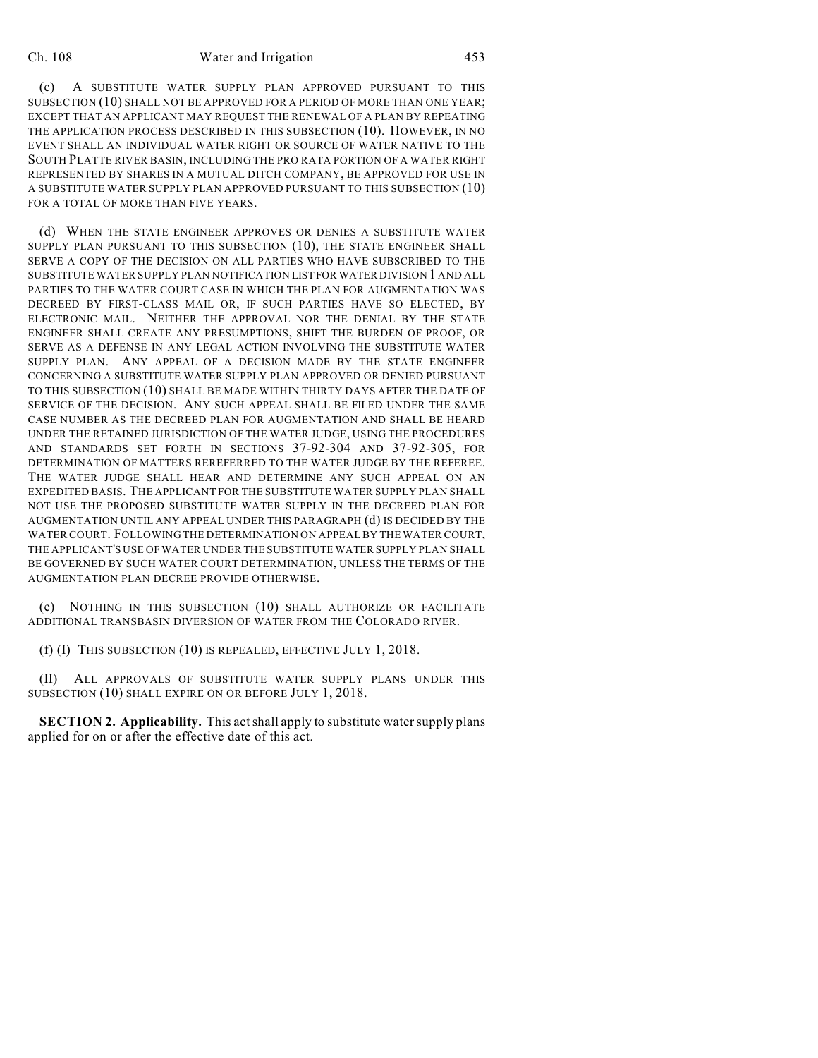(c) A SUBSTITUTE WATER SUPPLY PLAN APPROVED PURSUANT TO THIS SUBSECTION (10) SHALL NOT BE APPROVED FOR A PERIOD OF MORE THAN ONE YEAR; EXCEPT THAT AN APPLICANT MAY REQUEST THE RENEWAL OF A PLAN BY REPEATING THE APPLICATION PROCESS DESCRIBED IN THIS SUBSECTION (10). HOWEVER, IN NO EVENT SHALL AN INDIVIDUAL WATER RIGHT OR SOURCE OF WATER NATIVE TO THE SOUTH PLATTE RIVER BASIN, INCLUDING THE PRO RATA PORTION OF A WATER RIGHT REPRESENTED BY SHARES IN A MUTUAL DITCH COMPANY, BE APPROVED FOR USE IN A SUBSTITUTE WATER SUPPLY PLAN APPROVED PURSUANT TO THIS SUBSECTION (10) FOR A TOTAL OF MORE THAN FIVE YEARS.

(d) WHEN THE STATE ENGINEER APPROVES OR DENIES A SUBSTITUTE WATER SUPPLY PLAN PURSUANT TO THIS SUBSECTION (10), THE STATE ENGINEER SHALL SERVE A COPY OF THE DECISION ON ALL PARTIES WHO HAVE SUBSCRIBED TO THE SUBSTITUTE WATER SUPPLY PLAN NOTIFICATION LIST FOR WATER DIVISION 1 AND ALL PARTIES TO THE WATER COURT CASE IN WHICH THE PLAN FOR AUGMENTATION WAS DECREED BY FIRST-CLASS MAIL OR, IF SUCH PARTIES HAVE SO ELECTED, BY ELECTRONIC MAIL. NEITHER THE APPROVAL NOR THE DENIAL BY THE STATE ENGINEER SHALL CREATE ANY PRESUMPTIONS, SHIFT THE BURDEN OF PROOF, OR SERVE AS A DEFENSE IN ANY LEGAL ACTION INVOLVING THE SUBSTITUTE WATER SUPPLY PLAN. ANY APPEAL OF A DECISION MADE BY THE STATE ENGINEER CONCERNING A SUBSTITUTE WATER SUPPLY PLAN APPROVED OR DENIED PURSUANT TO THIS SUBSECTION (10) SHALL BE MADE WITHIN THIRTY DAYS AFTER THE DATE OF SERVICE OF THE DECISION. ANY SUCH APPEAL SHALL BE FILED UNDER THE SAME CASE NUMBER AS THE DECREED PLAN FOR AUGMENTATION AND SHALL BE HEARD UNDER THE RETAINED JURISDICTION OF THE WATER JUDGE, USING THE PROCEDURES AND STANDARDS SET FORTH IN SECTIONS 37-92-304 AND 37-92-305, FOR DETERMINATION OF MATTERS REREFERRED TO THE WATER JUDGE BY THE REFEREE. THE WATER JUDGE SHALL HEAR AND DETERMINE ANY SUCH APPEAL ON AN EXPEDITED BASIS. THE APPLICANT FOR THE SUBSTITUTE WATER SUPPLY PLAN SHALL NOT USE THE PROPOSED SUBSTITUTE WATER SUPPLY IN THE DECREED PLAN FOR AUGMENTATION UNTIL ANY APPEAL UNDER THIS PARAGRAPH (d) IS DECIDED BY THE WATER COURT. FOLLOWING THE DETERMINATION ON APPEAL BY THE WATER COURT, THE APPLICANT'S USE OF WATER UNDER THE SUBSTITUTE WATER SUPPLY PLAN SHALL BE GOVERNED BY SUCH WATER COURT DETERMINATION, UNLESS THE TERMS OF THE AUGMENTATION PLAN DECREE PROVIDE OTHERWISE.

(e) NOTHING IN THIS SUBSECTION (10) SHALL AUTHORIZE OR FACILITATE ADDITIONAL TRANSBASIN DIVERSION OF WATER FROM THE COLORADO RIVER.

(f) (I) THIS SUBSECTION (10) IS REPEALED, EFFECTIVE JULY 1, 2018.

(II) ALL APPROVALS OF SUBSTITUTE WATER SUPPLY PLANS UNDER THIS SUBSECTION (10) SHALL EXPIRE ON OR BEFORE JULY 1, 2018.

**SECTION 2. Applicability.** This act shall apply to substitute water supply plans applied for on or after the effective date of this act.